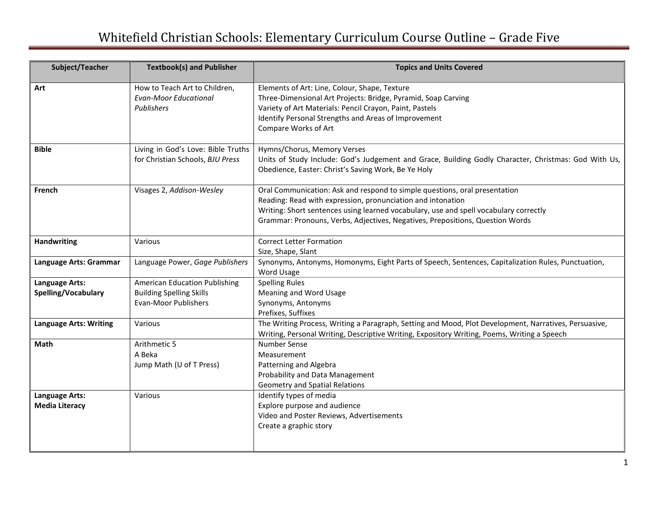## Whitefield Christian Schools: Elementary Curriculum Course Outline – Grade Five

| Subject/Teacher                         | <b>Textbook(s) and Publisher</b>                                                                       | <b>Topics and Units Covered</b>                                                                                                                                                                                                                                                                                     |
|-----------------------------------------|--------------------------------------------------------------------------------------------------------|---------------------------------------------------------------------------------------------------------------------------------------------------------------------------------------------------------------------------------------------------------------------------------------------------------------------|
| Art                                     | How to Teach Art to Children,<br><b>Evan-Moor Educational</b><br>Publishers                            | Elements of Art: Line, Colour, Shape, Texture<br>Three-Dimensional Art Projects: Bridge, Pyramid, Soap Carving<br>Variety of Art Materials: Pencil Crayon, Paint, Pastels<br>Identify Personal Strengths and Areas of Improvement<br>Compare Works of Art                                                           |
| <b>Bible</b>                            | Living in God's Love: Bible Truths<br>for Christian Schools, BJU Press                                 | Hymns/Chorus, Memory Verses<br>Units of Study Include: God's Judgement and Grace, Building Godly Character, Christmas: God With Us,<br>Obedience, Easter: Christ's Saving Work, Be Ye Holy                                                                                                                          |
| French                                  | Visages 2, Addison-Wesley                                                                              | Oral Communication: Ask and respond to simple questions, oral presentation<br>Reading: Read with expression, pronunciation and intonation<br>Writing: Short sentences using learned vocabulary, use and spell vocabulary correctly<br>Grammar: Pronouns, Verbs, Adjectives, Negatives, Prepositions, Question Words |
| <b>Handwriting</b>                      | Various                                                                                                | <b>Correct Letter Formation</b><br>Size, Shape, Slant                                                                                                                                                                                                                                                               |
| Language Arts: Grammar                  | Language Power, Gage Publishers                                                                        | Synonyms, Antonyms, Homonyms, Eight Parts of Speech, Sentences, Capitalization Rules, Punctuation,<br>Word Usage                                                                                                                                                                                                    |
| Language Arts:<br>Spelling/Vocabulary   | <b>American Education Publishing</b><br><b>Building Spelling Skills</b><br><b>Evan-Moor Publishers</b> | <b>Spelling Rules</b><br>Meaning and Word Usage<br>Synonyms, Antonyms<br>Prefixes, Suffixes                                                                                                                                                                                                                         |
| <b>Language Arts: Writing</b>           | Various                                                                                                | The Writing Process, Writing a Paragraph, Setting and Mood, Plot Development, Narratives, Persuasive,<br>Writing, Personal Writing, Descriptive Writing, Expository Writing, Poems, Writing a Speech                                                                                                                |
| Math                                    | Arithmetic 5<br>A Beka<br>Jump Math (U of T Press)                                                     | <b>Number Sense</b><br>Measurement<br>Patterning and Algebra<br>Probability and Data Management<br><b>Geometry and Spatial Relations</b>                                                                                                                                                                            |
| Language Arts:<br><b>Media Literacy</b> | Various                                                                                                | Identify types of media<br>Explore purpose and audience<br>Video and Poster Reviews, Advertisements<br>Create a graphic story                                                                                                                                                                                       |